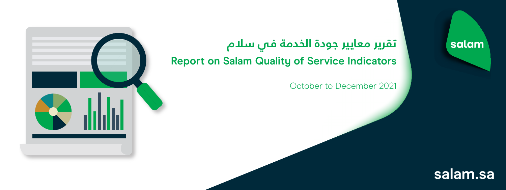

## **تقرير معايير جودة الخدمة في سلام Report on Salam Quality of Service Indicators**

October to December 2021

## salam

## **salam.sa**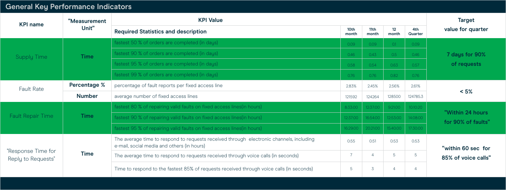## **General Key Performance Indicators**

| <b>KPI name</b>                          | "Measurement<br>Unit" | <b>KPI Value</b>                                                                                                                      |               |                   |             |                | <b>Target</b>                             |
|------------------------------------------|-----------------------|---------------------------------------------------------------------------------------------------------------------------------------|---------------|-------------------|-------------|----------------|-------------------------------------------|
|                                          |                       | <b>Required Statistics and description</b>                                                                                            | 10th<br>month | 11th<br>month     | 12<br>month | 4th<br>Quarter | value for quarter                         |
| <b>Supply Time</b>                       | <b>Time</b>           | fastest 50 % of orders are completed (in days)                                                                                        | 0.09          | 0.09 <sup>°</sup> | 0.1         | 0.09           | 7 days for 90%<br>of requests             |
|                                          |                       | fastest 90 % of orders are completed (in days)                                                                                        | 0.46          | 0.43              | 0.5         | 0.46           |                                           |
|                                          |                       | fastest 95 % of orders are completed (in days)                                                                                        | 0.58          | 0.54              | 0.63        | 0.57           |                                           |
|                                          |                       | fastest 99 % of orders are completed (in days)                                                                                        | 0.76          | 0.76              | 0.82        | 0.76           |                                           |
| <b>Fault Rate</b>                        | <b>Percentage %</b>   | percentage of fault reports per fixed access line                                                                                     | 2.83%         | 2.45%             | 2.56%       | 2.61%          | $< 5\%$                                   |
|                                          | <b>Number</b>         | average number of fixed access lines                                                                                                  | 121592        | 124264            | 128500      | 124785.3       |                                           |
| <b>Fault Repair Time</b>                 | <b>Time</b>           | fastest 80 % of repairing valid faults on fixed access lines (in hours)                                                               | 8:33:00       | 12:37:00          | 9:21:00     | 10:10:20       | "Within 24 hours<br>for 90% of faults"    |
|                                          |                       | fastest 90 % of repairing valid faults on fixed access lines (in hours)                                                               | 12:37:00      | 16:54:00          | 12:53:00    | 14:08:00       |                                           |
|                                          |                       | fastest 95 % of repairing valid faults on fixed access lines (in hours)                                                               | 16:29:00      | 20:21:00          | 15:40:00    | 17:30:00       |                                           |
| "Response Time for<br>Reply to Requests" | <b>Time</b>           | The average time to respond to requests received through electronic channels, including<br>e-mail, social media and others (in hours) | 0:55          | 0:51              | 0:53        | 0:53           | "within 60 sec for<br>85% of voice calls" |
|                                          |                       | The average time to respond to requests received through voice calls (in seconds)                                                     |               |                   | 5           | 5              |                                           |
|                                          |                       | Time to respond to the fastest 85% of requests received through voice calls (in seconds)                                              | 5             | 3                 |             | $\overline{4}$ |                                           |